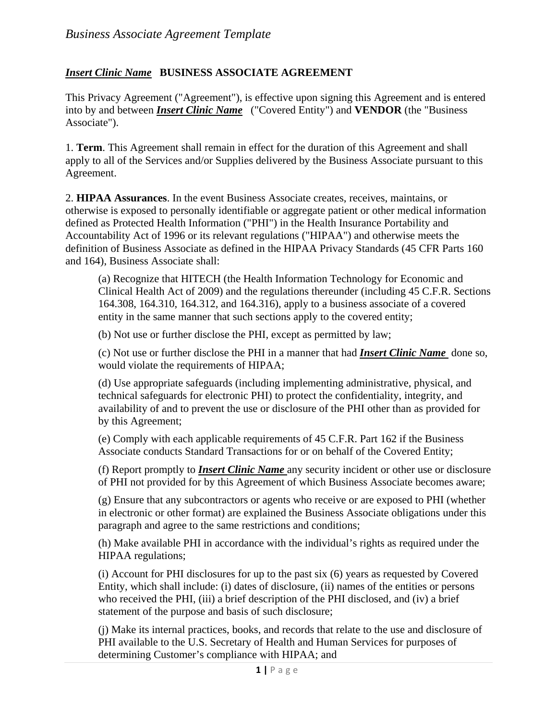## *Insert Clinic Name* **BUSINESS ASSOCIATE AGREEMENT**

This Privacy Agreement ("Agreement"), is effective upon signing this Agreement and is entered into by and between *Insert Clinic Name* ("Covered Entity") and **VENDOR** (the "Business Associate").

1. **Term**. This Agreement shall remain in effect for the duration of this Agreement and shall apply to all of the Services and/or Supplies delivered by the Business Associate pursuant to this Agreement.

2. **HIPAA Assurances**. In the event Business Associate creates, receives, maintains, or otherwise is exposed to personally identifiable or aggregate patient or other medical information defined as Protected Health Information ("PHI") in the Health Insurance Portability and Accountability Act of 1996 or its relevant regulations ("HIPAA") and otherwise meets the definition of Business Associate as defined in the HIPAA Privacy Standards (45 CFR Parts 160 and 164), Business Associate shall:

(a) Recognize that HITECH (the Health Information Technology for Economic and Clinical Health Act of 2009) and the regulations thereunder (including 45 C.F.R. Sections 164.308, 164.310, 164.312, and 164.316), apply to a business associate of a covered entity in the same manner that such sections apply to the covered entity;

(b) Not use or further disclose the PHI, except as permitted by law;

(c) Not use or further disclose the PHI in a manner that had *Insert Clinic Name* done so, would violate the requirements of HIPAA;

(d) Use appropriate safeguards (including implementing administrative, physical, and technical safeguards for electronic PHI) to protect the confidentiality, integrity, and availability of and to prevent the use or disclosure of the PHI other than as provided for by this Agreement;

(e) Comply with each applicable requirements of 45 C.F.R. Part 162 if the Business Associate conducts Standard Transactions for or on behalf of the Covered Entity;

(f) Report promptly to *Insert Clinic Name* any security incident or other use or disclosure of PHI not provided for by this Agreement of which Business Associate becomes aware;

(g) Ensure that any subcontractors or agents who receive or are exposed to PHI (whether in electronic or other format) are explained the Business Associate obligations under this paragraph and agree to the same restrictions and conditions;

(h) Make available PHI in accordance with the individual's rights as required under the HIPAA regulations;

(i) Account for PHI disclosures for up to the past six (6) years as requested by Covered Entity, which shall include: (i) dates of disclosure, (ii) names of the entities or persons who received the PHI, (iii) a brief description of the PHI disclosed, and (iv) a brief statement of the purpose and basis of such disclosure;

(j) Make its internal practices, books, and records that relate to the use and disclosure of PHI available to the U.S. Secretary of Health and Human Services for purposes of determining Customer's compliance with HIPAA; and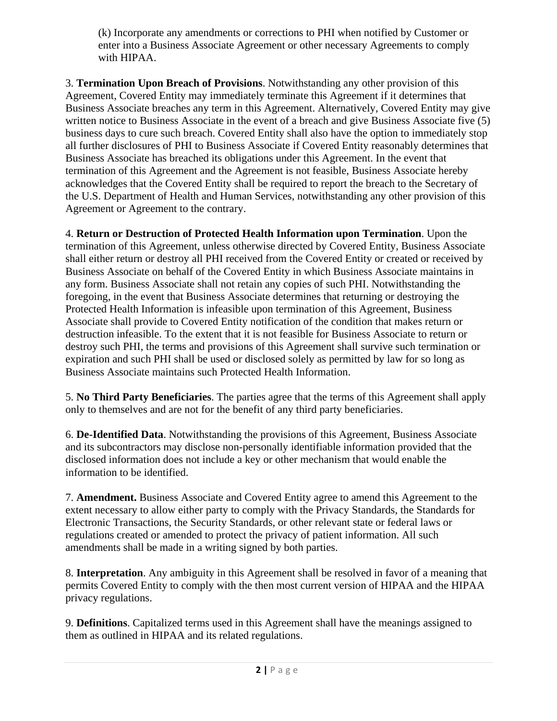(k) Incorporate any amendments or corrections to PHI when notified by Customer or enter into a Business Associate Agreement or other necessary Agreements to comply with HIPAA.

3. **Termination Upon Breach of Provisions**. Notwithstanding any other provision of this Agreement, Covered Entity may immediately terminate this Agreement if it determines that Business Associate breaches any term in this Agreement. Alternatively, Covered Entity may give written notice to Business Associate in the event of a breach and give Business Associate five (5) business days to cure such breach. Covered Entity shall also have the option to immediately stop all further disclosures of PHI to Business Associate if Covered Entity reasonably determines that Business Associate has breached its obligations under this Agreement. In the event that termination of this Agreement and the Agreement is not feasible, Business Associate hereby acknowledges that the Covered Entity shall be required to report the breach to the Secretary of the U.S. Department of Health and Human Services, notwithstanding any other provision of this Agreement or Agreement to the contrary.

4. **Return or Destruction of Protected Health Information upon Termination**. Upon the termination of this Agreement, unless otherwise directed by Covered Entity, Business Associate shall either return or destroy all PHI received from the Covered Entity or created or received by Business Associate on behalf of the Covered Entity in which Business Associate maintains in any form. Business Associate shall not retain any copies of such PHI. Notwithstanding the foregoing, in the event that Business Associate determines that returning or destroying the Protected Health Information is infeasible upon termination of this Agreement, Business Associate shall provide to Covered Entity notification of the condition that makes return or destruction infeasible. To the extent that it is not feasible for Business Associate to return or destroy such PHI, the terms and provisions of this Agreement shall survive such termination or expiration and such PHI shall be used or disclosed solely as permitted by law for so long as Business Associate maintains such Protected Health Information.

5. **No Third Party Beneficiaries**. The parties agree that the terms of this Agreement shall apply only to themselves and are not for the benefit of any third party beneficiaries.

6. **De-Identified Data**. Notwithstanding the provisions of this Agreement, Business Associate and its subcontractors may disclose non-personally identifiable information provided that the disclosed information does not include a key or other mechanism that would enable the information to be identified.

7. **Amendment.** Business Associate and Covered Entity agree to amend this Agreement to the extent necessary to allow either party to comply with the Privacy Standards, the Standards for Electronic Transactions, the Security Standards, or other relevant state or federal laws or regulations created or amended to protect the privacy of patient information. All such amendments shall be made in a writing signed by both parties.

8. **Interpretation**. Any ambiguity in this Agreement shall be resolved in favor of a meaning that permits Covered Entity to comply with the then most current version of HIPAA and the HIPAA privacy regulations.

9. **Definitions**. Capitalized terms used in this Agreement shall have the meanings assigned to them as outlined in HIPAA and its related regulations.